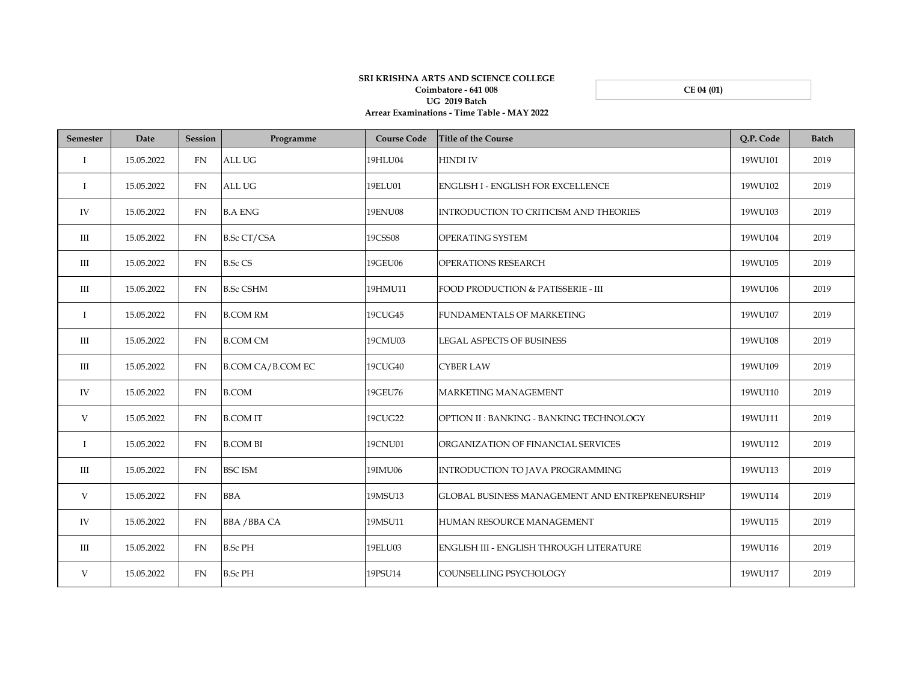**CE 04 (01)**

## **SRI KRISHNA ARTS AND SCIENCE COLLEGE Coimbatore - 641 008 UG 2019 Batch Arrear Examinations - Time Table - MAY 2022**

| <b>Semester</b> | Date       | <b>Session</b> | Programme                | <b>Course Code</b> | <b>Title of the Course</b>                      | Q.P. Code | <b>Batch</b> |
|-----------------|------------|----------------|--------------------------|--------------------|-------------------------------------------------|-----------|--------------|
| $\bf{I}$        | 15.05.2022 | <b>FN</b>      | <b>ALL UG</b>            | 19HLU04            | <b>HINDI IV</b>                                 | 19WU101   | 2019         |
| $\mathbf{I}$    | 15.05.2022 | FN             | <b>ALL UG</b>            | 19ELU01            | <b>ENGLISH I - ENGLISH FOR EXCELLENCE</b>       | 19WU102   | 2019         |
| IV              | 15.05.2022 | FN             | <b>B.A ENG</b>           | <b>19ENU08</b>     | INTRODUCTION TO CRITICISM AND THEORIES          | 19WU103   | 2019         |
| Ш               | 15.05.2022 | FN             | <b>B.Sc CT/CSA</b>       | 19CSS08            | OPERATING SYSTEM                                | 19WU104   | 2019         |
| III             | 15.05.2022 | <b>FN</b>      | <b>B.Sc CS</b>           | 19GEU06            | <b>OPERATIONS RESEARCH</b>                      | 19WU105   | 2019         |
| $\rm III$       | 15.05.2022 | <b>FN</b>      | <b>B.Sc CSHM</b>         | 19HMU11            | FOOD PRODUCTION & PATISSERIE - III              | 19WU106   | 2019         |
| $\bf{I}$        | 15.05.2022 | <b>FN</b>      | <b>B.COM RM</b>          | 19CUG45            | <b>FUNDAMENTALS OF MARKETING</b>                | 19WU107   | 2019         |
| Ш               | 15.05.2022 | <b>FN</b>      | <b>B.COM CM</b>          | 19CMU03            | <b>LEGAL ASPECTS OF BUSINESS</b>                | 19WU108   | 2019         |
| Ш               | 15.05.2022 | <b>FN</b>      | <b>B.COM CA/B.COM EC</b> | 19CUG40            | <b>CYBER LAW</b>                                | 19WU109   | 2019         |
| IV              | 15.05.2022 | <b>FN</b>      | <b>B.COM</b>             | 19GEU76            | MARKETING MANAGEMENT                            | 19WU110   | 2019         |
| V               | 15.05.2022 | FN             | <b>B.COMIT</b>           | 19CUG22            | OPTION II: BANKING - BANKING TECHNOLOGY         | 19WU111   | 2019         |
| $\bf{I}$        | 15.05.2022 | <b>FN</b>      | <b>B.COM BI</b>          | 19CNU01            | ORGANIZATION OF FINANCIAL SERVICES              | 19WU112   | 2019         |
| Ш               | 15.05.2022 | <b>FN</b>      | <b>BSC ISM</b>           | 19IMU06            | INTRODUCTION TO JAVA PROGRAMMING                | 19WU113   | 2019         |
| V               | 15.05.2022 | FN.            | <b>BBA</b>               | 19MSU13            | GLOBAL BUSINESS MANAGEMENT AND ENTREPRENEURSHIP | 19WU114   | 2019         |
| IV              | 15.05.2022 | <b>FN</b>      | <b>BBA / BBA CA</b>      | 19MSU11            | HUMAN RESOURCE MANAGEMENT                       | 19WU115   | 2019         |
| $\rm III$       | 15.05.2022 | FN             | <b>B.Sc PH</b>           | 19ELU03            | ENGLISH III - ENGLISH THROUGH LITERATURE        | 19WU116   | 2019         |
| V               | 15.05.2022 | <b>FN</b>      | <b>B.Sc PH</b>           | 19PSU14            | COUNSELLING PSYCHOLOGY                          | 19WU117   | 2019         |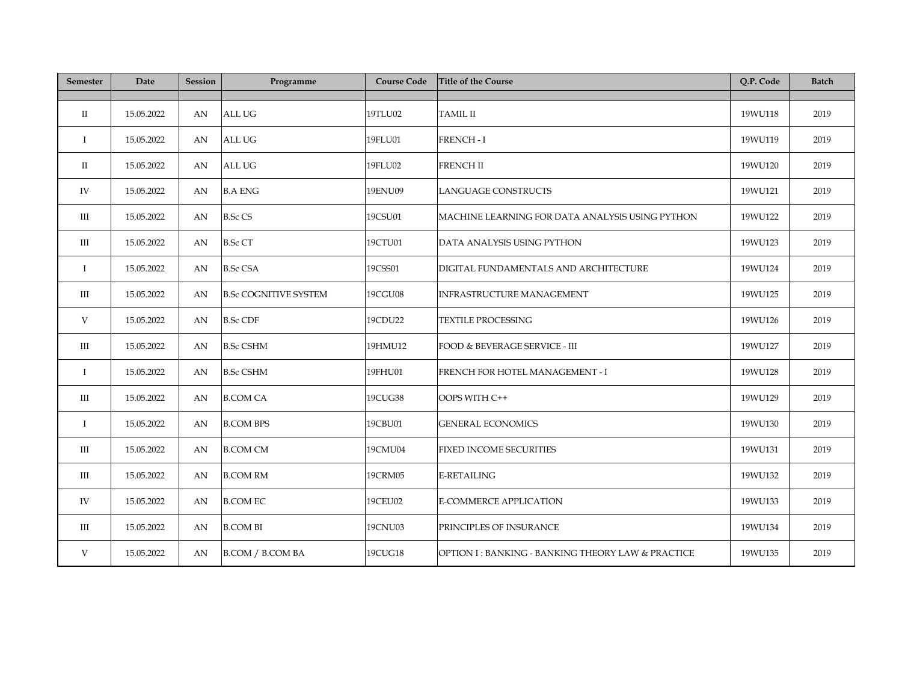| Semester     | Date       | <b>Session</b> | Programme                    | <b>Course Code</b> | <b>Title of the Course</b>                         | Q.P. Code | <b>Batch</b> |
|--------------|------------|----------------|------------------------------|--------------------|----------------------------------------------------|-----------|--------------|
|              |            |                |                              |                    |                                                    |           |              |
| $\rm II$     | 15.05.2022 | AN             | <b>ALL UG</b>                | 19TLU02            | <b>TAMIL II</b>                                    | 19WU118   | 2019         |
| $\bf{I}$     | 15.05.2022 | AN             | <b>ALL UG</b>                | 19FLU01            | <b>FRENCH-I</b>                                    | 19WU119   | 2019         |
| П            | 15.05.2022 | AN             | ALL UG                       | 19FLU02            | <b>FRENCH II</b>                                   | 19WU120   | 2019         |
| IV           | 15.05.2022 | AN             | <b>B.A ENG</b>               | 19ENU09            | <b>LANGUAGE CONSTRUCTS</b>                         | 19WU121   | 2019         |
| $\rm III$    | 15.05.2022 | AN             | <b>B.Sc CS</b>               | 19CSU01            | MACHINE LEARNING FOR DATA ANALYSIS USING PYTHON    | 19WU122   | 2019         |
| $\rm III$    | 15.05.2022 | AN             | <b>B.Sc CT</b>               | 19CTU01            | DATA ANALYSIS USING PYTHON                         | 19WU123   | 2019         |
| $\bf{I}$     | 15.05.2022 | AN             | <b>B.Sc CSA</b>              | 19CSS01            | DIGITAL FUNDAMENTALS AND ARCHITECTURE              | 19WU124   | 2019         |
| $\rm III$    | 15.05.2022 | AN             | <b>B.Sc COGNITIVE SYSTEM</b> | 19CGU08            | <b>INFRASTRUCTURE MANAGEMENT</b>                   | 19WU125   | 2019         |
| V            | 15.05.2022 | AN             | <b>B.Sc CDF</b>              | 19CDU22            | <b>TEXTILE PROCESSING</b>                          | 19WU126   | 2019         |
| $\rm III$    | 15.05.2022 | AN             | <b>B.Sc CSHM</b>             | 19HMU12            | FOOD & BEVERAGE SERVICE - III                      | 19WU127   | 2019         |
| $\bf{I}$     | 15.05.2022 | AN             | <b>B.Sc CSHM</b>             | 19FHU01            | FRENCH FOR HOTEL MANAGEMENT - I                    | 19WU128   | 2019         |
| Ш            | 15.05.2022 | AN             | <b>B.COM CA</b>              | 19CUG38            | OOPS WITH C++                                      | 19WU129   | 2019         |
| $\mathbf{I}$ | 15.05.2022 | AN             | <b>B.COM BPS</b>             | 19CBU01            | <b>GENERAL ECONOMICS</b>                           | 19WU130   | 2019         |
| Ш            | 15.05.2022 | AN             | <b>B.COM CM</b>              | 19CMU04            | FIXED INCOME SECURITIES                            | 19WU131   | 2019         |
| III          | 15.05.2022 | AN             | <b>B.COM RM</b>              | 19CRM05            | <b>E-RETAILING</b>                                 | 19WU132   | 2019         |
| IV           | 15.05.2022 | AN             | <b>B.COM EC</b>              | 19CEU02            | <b>E-COMMERCE APPLICATION</b>                      | 19WU133   | 2019         |
| Ш            | 15.05.2022 | AN             | <b>B.COM BI</b>              | 19CNU03            | PRINCIPLES OF INSURANCE                            | 19WU134   | 2019         |
| V            | 15.05.2022 | AN             | <b>B.COM / B.COM BA</b>      | 19CUG18            | OPTION I : BANKING - BANKING THEORY LAW & PRACTICE | 19WU135   | 2019         |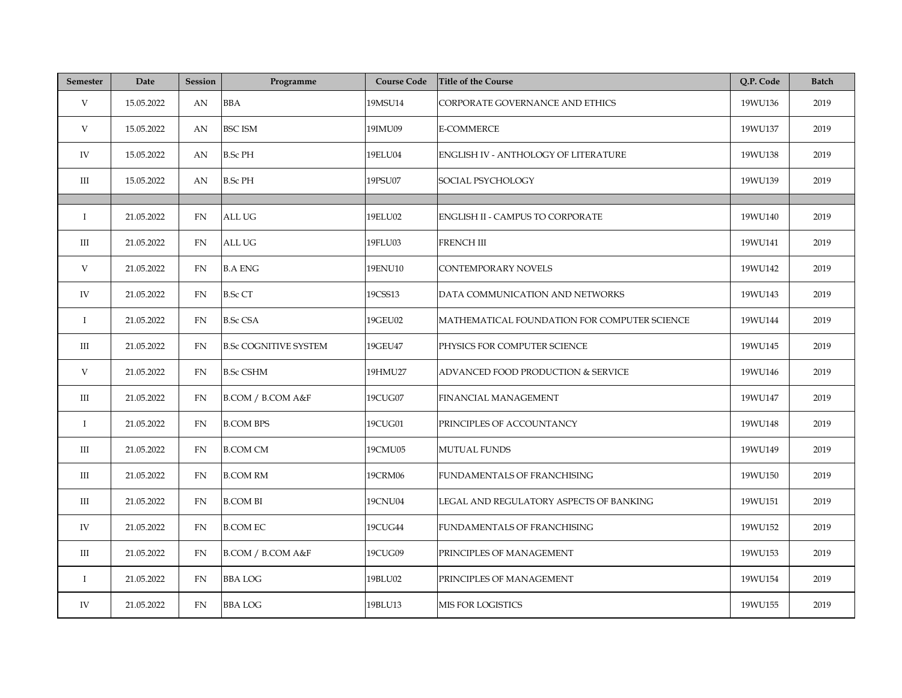| <b>Semester</b> | Date       | <b>Session</b> | Programme                    | <b>Course Code</b> | <b>Title of the Course</b>                   | Q.P. Code | <b>Batch</b> |
|-----------------|------------|----------------|------------------------------|--------------------|----------------------------------------------|-----------|--------------|
| V               | 15.05.2022 | AN             | <b>BBA</b>                   | 19MSU14            | CORPORATE GOVERNANCE AND ETHICS              | 19WU136   | 2019         |
| V               | 15.05.2022 | AN             | <b>BSC ISM</b>               | 19IMU09            | <b>E-COMMERCE</b>                            | 19WU137   | 2019         |
| IV              | 15.05.2022 | AN             | <b>B.Sc PH</b>               | 19ELU04            | ENGLISH IV - ANTHOLOGY OF LITERATURE         | 19WU138   | 2019         |
| Ш               | 15.05.2022 | AN             | <b>B.Sc PH</b>               | 19PSU07            | SOCIAL PSYCHOLOGY                            | 19WU139   | 2019         |
|                 |            |                |                              |                    |                                              |           |              |
| $\mathbf{I}$    | 21.05.2022 | FN             | ALL UG                       | 19ELU02            | <b>ENGLISH II - CAMPUS TO CORPORATE</b>      | 19WU140   | 2019         |
| Ш               | 21.05.2022 | FN             | ALL UG                       | 19FLU03            | <b>FRENCH III</b>                            | 19WU141   | 2019         |
| V               | 21.05.2022 | FN             | <b>B.A ENG</b>               | <b>19ENU10</b>     | <b>CONTEMPORARY NOVELS</b>                   | 19WU142   | 2019         |
| IV              | 21.05.2022 | <b>FN</b>      | <b>B.Sc CT</b>               | 19CSS13            | DATA COMMUNICATION AND NETWORKS              | 19WU143   | 2019         |
| $\bf{I}$        | 21.05.2022 | FN.            | <b>B.Sc CSA</b>              | 19GEU02            | MATHEMATICAL FOUNDATION FOR COMPUTER SCIENCE | 19WU144   | 2019         |
| Ш               | 21.05.2022 | FN             | <b>B.Sc COGNITIVE SYSTEM</b> | 19GEU47            | PHYSICS FOR COMPUTER SCIENCE                 | 19WU145   | 2019         |
| V               | 21.05.2022 | FN             | <b>B.Sc CSHM</b>             | 19HMU27            | ADVANCED FOOD PRODUCTION & SERVICE           | 19WU146   | 2019         |
| $\rm III$       | 21.05.2022 | <b>FN</b>      | B.COM / B.COM A&F            | 19CUG07            | FINANCIAL MANAGEMENT                         | 19WU147   | 2019         |
| $\bf{I}$        | 21.05.2022 | FN             | <b>B.COM BPS</b>             | 19CUG01            | PRINCIPLES OF ACCOUNTANCY                    | 19WU148   | 2019         |
| Ш               | 21.05.2022 | FN             | <b>B.COM CM</b>              | 19CMU05            | <b>MUTUAL FUNDS</b>                          | 19WU149   | 2019         |
| Ш               | 21.05.2022 | FN             | <b>B.COM RM</b>              | 19CRM06            | FUNDAMENTALS OF FRANCHISING                  | 19WU150   | 2019         |
| Ш               | 21.05.2022 | <b>FN</b>      | <b>B.COM BI</b>              | 19CNU04            | LEGAL AND REGULATORY ASPECTS OF BANKING      | 19WU151   | 2019         |
| IV              | 21.05.2022 | FN             | <b>B.COM EC</b>              | 19CUG44            | FUNDAMENTALS OF FRANCHISING                  | 19WU152   | 2019         |
| Ш               | 21.05.2022 | FN             | B.COM / B.COM A&F            | 19CUG09            | PRINCIPLES OF MANAGEMENT                     | 19WU153   | 2019         |
| $\bf{I}$        | 21.05.2022 | FN             | <b>BBA LOG</b>               | 19BLU02            | PRINCIPLES OF MANAGEMENT                     | 19WU154   | 2019         |
| IV              | 21.05.2022 | FN             | <b>BBALOG</b>                | 19BLU13            | MIS FOR LOGISTICS                            | 19WU155   | 2019         |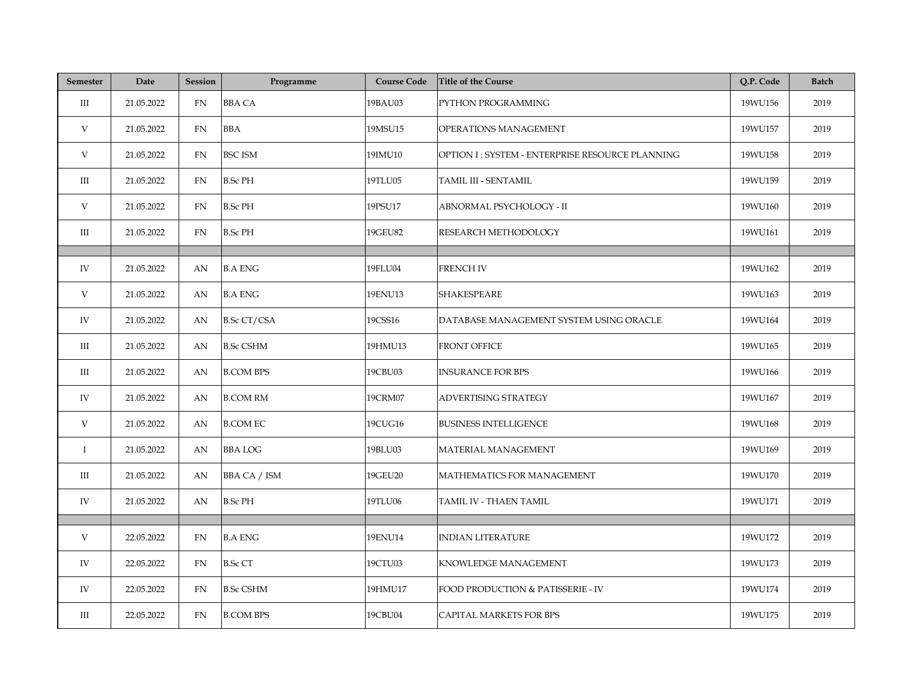| <b>Semester</b> | Date       | <b>Session</b> | Programme           | <b>Course Code</b> | <b>Title of the Course</b>                      | Q.P. Code | <b>Batch</b> |
|-----------------|------------|----------------|---------------------|--------------------|-------------------------------------------------|-----------|--------------|
| Ш               | 21.05.2022 | FN             | <b>BBA CA</b>       | 19BAU03            | PYTHON PROGRAMMING                              | 19WU156   | 2019         |
| V               | 21.05.2022 | FN             | <b>BBA</b>          | 19MSU15            | OPERATIONS MANAGEMENT                           | 19WU157   | 2019         |
| V               | 21.05.2022 | FN             | <b>BSC ISM</b>      | 19IMU10            | OPTION I: SYSTEM - ENTERPRISE RESOURCE PLANNING | 19WU158   | 2019         |
| Ш               | 21.05.2022 | FN             | <b>B.Sc PH</b>      | 19TLU05            | TAMIL III - SENTAMIL                            | 19WU159   | 2019         |
| V               | 21.05.2022 | <b>FN</b>      | <b>B.Sc PH</b>      | 19PSU17            | ABNORMAL PSYCHOLOGY - II                        | 19WU160   | 2019         |
| Ш               | 21.05.2022 | FN             | <b>B.Sc PH</b>      | 19GEU82            | RESEARCH METHODOLOGY                            | 19WU161   | 2019         |
|                 |            |                |                     |                    |                                                 |           |              |
| IV              | 21.05.2022 | AN             | <b>B.A ENG</b>      | 19FLU04            | <b>FRENCH IV</b>                                | 19WU162   | 2019         |
| V               | 21.05.2022 | AN             | <b>B.A ENG</b>      | 19ENU13            | <b>SHAKESPEARE</b>                              | 19WU163   | 2019         |
| IV              | 21.05.2022 | AN             | <b>B.Sc CT/CSA</b>  | 19CSS16            | DATABASE MANAGEMENT SYSTEM USING ORACLE         | 19WU164   | 2019         |
| Ш               | 21.05.2022 | AN             | <b>B.Sc CSHM</b>    | 19HMU13            | <b>FRONT OFFICE</b>                             | 19WU165   | 2019         |
| Ш               | 21.05.2022 | AN             | <b>B.COM BPS</b>    | 19CBU03            | <b>INSURANCE FOR BPS</b>                        | 19WU166   | 2019         |
| IV              | 21.05.2022 | AN             | <b>B.COM RM</b>     | 19CRM07            | ADVERTISING STRATEGY                            | 19WU167   | 2019         |
| V               | 21.05.2022 | AN             | <b>B.COM EC</b>     | 19CUG16            | <b>BUSINESS INTELLIGENCE</b>                    | 19WU168   | 2019         |
| $\mathbf{I}$    | 21.05.2022 | AN             | <b>BBALOG</b>       | 19BLU03            | MATERIAL MANAGEMENT                             | 19WU169   | 2019         |
| Ш               | 21.05.2022 | AN             | <b>BBA CA / ISM</b> | 19GEU20            | MATHEMATICS FOR MANAGEMENT                      | 19WU170   | 2019         |
| IV              | 21.05.2022 | AN             | <b>B.Sc PH</b>      | 19TLU06            | TAMIL IV - THAEN TAMIL                          | 19WU171   | 2019         |
|                 |            |                |                     |                    |                                                 |           |              |
| V               | 22.05.2022 | FN             | <b>B.A ENG</b>      | 19ENU14            | <b>INDIAN LITERATURE</b>                        | 19WU172   | 2019         |
| IV              | 22.05.2022 | <b>FN</b>      | <b>B.Sc CT</b>      | 19CTU03            | KNOWLEDGE MANAGEMENT                            | 19WU173   | 2019         |
| IV              | 22.05.2022 | <b>FN</b>      | <b>B.Sc CSHM</b>    | 19HMU17            | FOOD PRODUCTION & PATISSERIE - IV               | 19WU174   | 2019         |
| Ш               | 22.05.2022 | FN             | <b>B.COM BPS</b>    | 19CBU04            | CAPITAL MARKETS FOR BPS                         | 19WU175   | 2019         |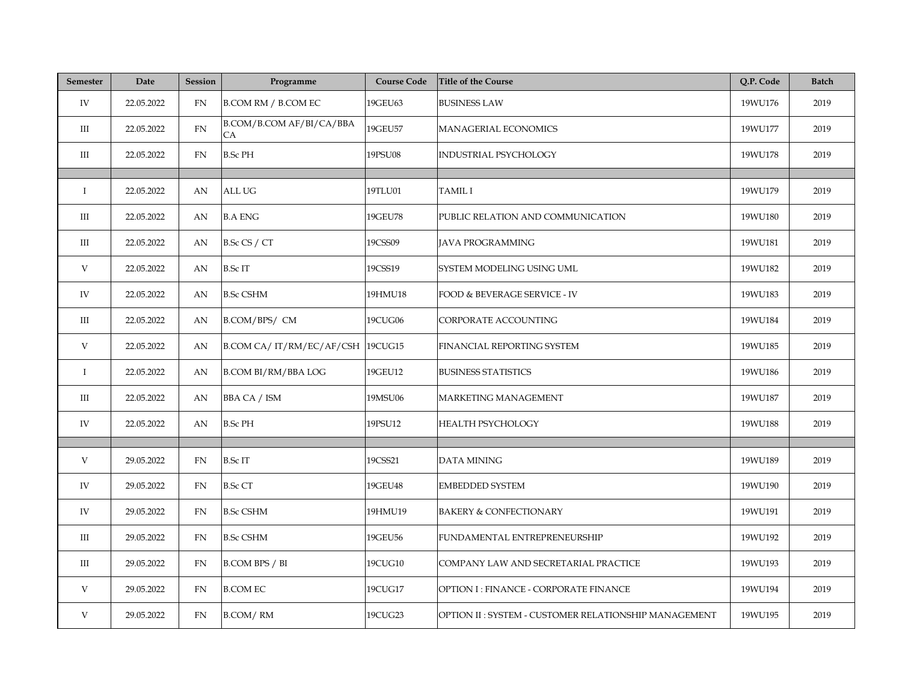| <b>Semester</b> | Date       | <b>Session</b> | Programme                        | <b>Course Code</b> | <b>Title of the Course</b>                           | Q.P. Code | <b>Batch</b> |
|-----------------|------------|----------------|----------------------------------|--------------------|------------------------------------------------------|-----------|--------------|
| IV              | 22.05.2022 | <b>FN</b>      | <b>B.COM RM / B.COM EC</b>       | 19GEU63            | <b>BUSINESS LAW</b>                                  | 19WU176   | 2019         |
| $\rm III$       | 22.05.2022 | FN             | B.COM/B.COM AF/BI/CA/BBA<br>CA   | 19GEU57            | MANAGERIAL ECONOMICS                                 | 19WU177   | 2019         |
| Ш               | 22.05.2022 | FN             | <b>B.Sc PH</b>                   | 19PSU08            | INDUSTRIAL PSYCHOLOGY                                | 19WU178   | 2019         |
|                 |            |                |                                  |                    |                                                      |           |              |
| $\bf{I}$        | 22.05.2022 | AN             | ALL UG                           | 19TLU01            | <b>TAMIL I</b>                                       | 19WU179   | 2019         |
| $\rm III$       | 22.05.2022 | AN             | <b>B.A ENG</b>                   | 19GEU78            | PUBLIC RELATION AND COMMUNICATION                    | 19WU180   | 2019         |
| $\rm III$       | 22.05.2022 | AN             | B.Sc CS / CT                     | 19CSS09            | <b>JAVA PROGRAMMING</b>                              | 19WU181   | 2019         |
| V               | 22.05.2022 | AN             | <b>B.ScIT</b>                    | 19CSS19            | SYSTEM MODELING USING UML                            | 19WU182   | 2019         |
| IV              | 22.05.2022 | AN             | <b>B.Sc CSHM</b>                 | 19HMU18            | FOOD & BEVERAGE SERVICE - IV                         | 19WU183   | 2019         |
| $\rm III$       | 22.05.2022 | AN             | B.COM/BPS/ CM                    | 19CUG06            | CORPORATE ACCOUNTING                                 | 19WU184   | 2019         |
| V               | 22.05.2022 | AN             | B.COM CA/IT/RM/EC/AF/CSH 19CUG15 |                    | FINANCIAL REPORTING SYSTEM                           | 19WU185   | 2019         |
| $\mathbf I$     | 22.05.2022 | AN             | <b>B.COM BI/RM/BBA LOG</b>       | 19GEU12            | <b>BUSINESS STATISTICS</b>                           | 19WU186   | 2019         |
| Ш               | 22.05.2022 | AN             | <b>BBA CA / ISM</b>              | 19MSU06            | MARKETING MANAGEMENT                                 | 19WU187   | 2019         |
| IV              | 22.05.2022 | AN             | <b>B.Sc PH</b>                   | 19PSU12            | <b>HEALTH PSYCHOLOGY</b>                             | 19WU188   | 2019         |
|                 |            |                |                                  |                    |                                                      |           |              |
| V               | 29.05.2022 | FN             | <b>B.Sc IT</b>                   | 19CSS21            | DATA MINING                                          | 19WU189   | 2019         |
| IV              | 29.05.2022 | FN             | <b>B.Sc CT</b>                   | 19GEU48            | <b>EMBEDDED SYSTEM</b>                               | 19WU190   | 2019         |
| IV              | 29.05.2022 | ${\rm FN}$     | <b>B.Sc CSHM</b>                 | 19HMU19            | <b>BAKERY &amp; CONFECTIONARY</b>                    | 19WU191   | 2019         |
| $\rm III$       | 29.05.2022 | ${\rm FN}$     | <b>B.Sc CSHM</b>                 | 19GEU56            | FUNDAMENTAL ENTREPRENEURSHIP                         | 19WU192   | 2019         |
| Ш               | 29.05.2022 | <b>FN</b>      | <b>B.COM BPS / BI</b>            | 19CUG10            | COMPANY LAW AND SECRETARIAL PRACTICE                 | 19WU193   | 2019         |
| V               | 29.05.2022 | FN             | <b>B.COM EC</b>                  | 19CUG17            | OPTION I : FINANCE - CORPORATE FINANCE               | 19WU194   | 2019         |
| V               | 29.05.2022 | FN             | <b>B.COM/RM</b>                  | 19CUG23            | OPTION II: SYSTEM - CUSTOMER RELATIONSHIP MANAGEMENT | 19WU195   | 2019         |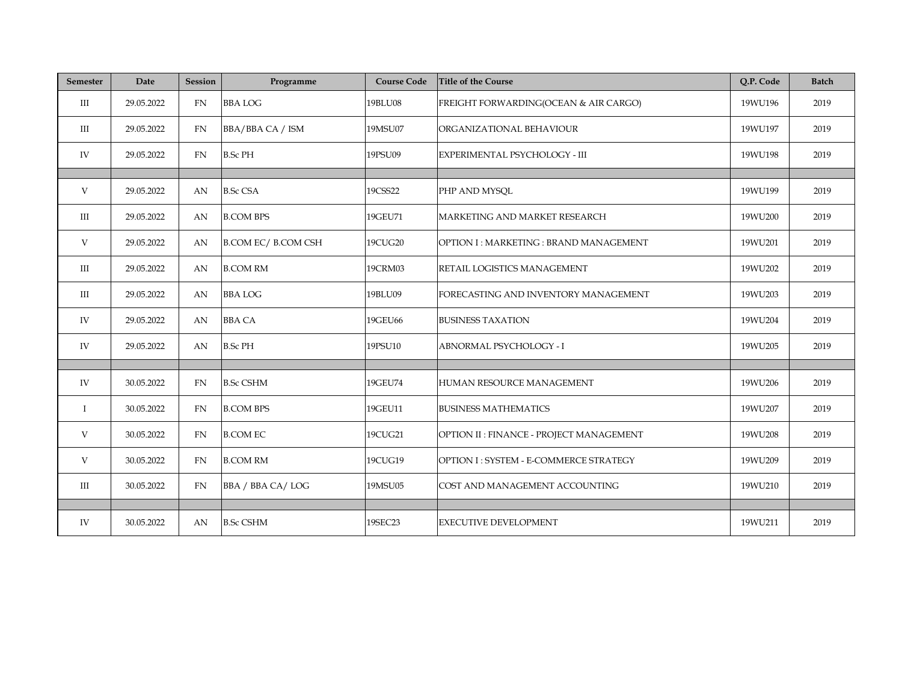| <b>Semester</b> | Date       | <b>Session</b> | Programme                  | <b>Course Code</b> | <b>Title of the Course</b>               | Q.P. Code | <b>Batch</b> |
|-----------------|------------|----------------|----------------------------|--------------------|------------------------------------------|-----------|--------------|
| $\rm III$       | 29.05.2022 | FN             | <b>BBALOG</b>              | 19BLU08            | FREIGHT FORWARDING(OCEAN & AIR CARGO)    | 19WU196   | 2019         |
| III             | 29.05.2022 | FN             | BBA/BBA CA / ISM           | 19MSU07            | ORGANIZATIONAL BEHAVIOUR                 | 19WU197   | 2019         |
| IV              | 29.05.2022 | FN             | <b>B.Sc PH</b>             | 19PSU09            | EXPERIMENTAL PSYCHOLOGY - III            | 19WU198   | 2019         |
|                 |            |                |                            |                    |                                          |           |              |
| V               | 29.05.2022 | AN             | <b>B.Sc CSA</b>            | 19CSS22            | PHP AND MYSQL                            | 19WU199   | 2019         |
| $\rm III$       | 29.05.2022 | AN             | <b>B.COM BPS</b>           | 19GEU71            | MARKETING AND MARKET RESEARCH            | 19WU200   | 2019         |
| V               | 29.05.2022 | AN             | <b>B.COM EC/ B.COM CSH</b> | 19CUG20            | OPTION I: MARKETING: BRAND MANAGEMENT    | 19WU201   | 2019         |
| Ш               | 29.05.2022 | AN             | <b>B.COM RM</b>            | 19CRM03            | RETAIL LOGISTICS MANAGEMENT              | 19WU202   | 2019         |
| III             | 29.05.2022 | AN             | <b>BBALOG</b>              | 19BLU09            | FORECASTING AND INVENTORY MANAGEMENT     | 19WU203   | 2019         |
| IV              | 29.05.2022 | AN             | <b>BBA CA</b>              | 19GEU66            | <b>BUSINESS TAXATION</b>                 | 19WU204   | 2019         |
| IV              | 29.05.2022 | AN             | <b>B.Sc PH</b>             | 19PSU10            | <b>ABNORMAL PSYCHOLOGY - I</b>           | 19WU205   | 2019         |
|                 |            |                |                            |                    |                                          |           |              |
| IV              | 30.05.2022 | FN             | <b>B.Sc CSHM</b>           | 19GEU74            | HUMAN RESOURCE MANAGEMENT                | 19WU206   | 2019         |
| $\bf I$         | 30.05.2022 | FN             | <b>B.COM BPS</b>           | 19GEU11            | <b>BUSINESS MATHEMATICS</b>              | 19WU207   | 2019         |
| V               | 30.05.2022 | FN             | <b>B.COM EC</b>            | 19CUG21            | OPTION II : FINANCE - PROJECT MANAGEMENT | 19WU208   | 2019         |
| V               | 30.05.2022 | FN             | <b>B.COM RM</b>            | 19CUG19            | OPTION I: SYSTEM - E-COMMERCE STRATEGY   | 19WU209   | 2019         |
| Ш               | 30.05.2022 | <b>FN</b>      | BBA / BBA CA/LOG           | 19MSU05            | COST AND MANAGEMENT ACCOUNTING           | 19WU210   | 2019         |
|                 |            |                |                            |                    |                                          |           |              |
| IV              | 30.05.2022 | AN             | <b>B.Sc CSHM</b>           | 19SEC23            | <b>EXECUTIVE DEVELOPMENT</b>             | 19WU211   | 2019         |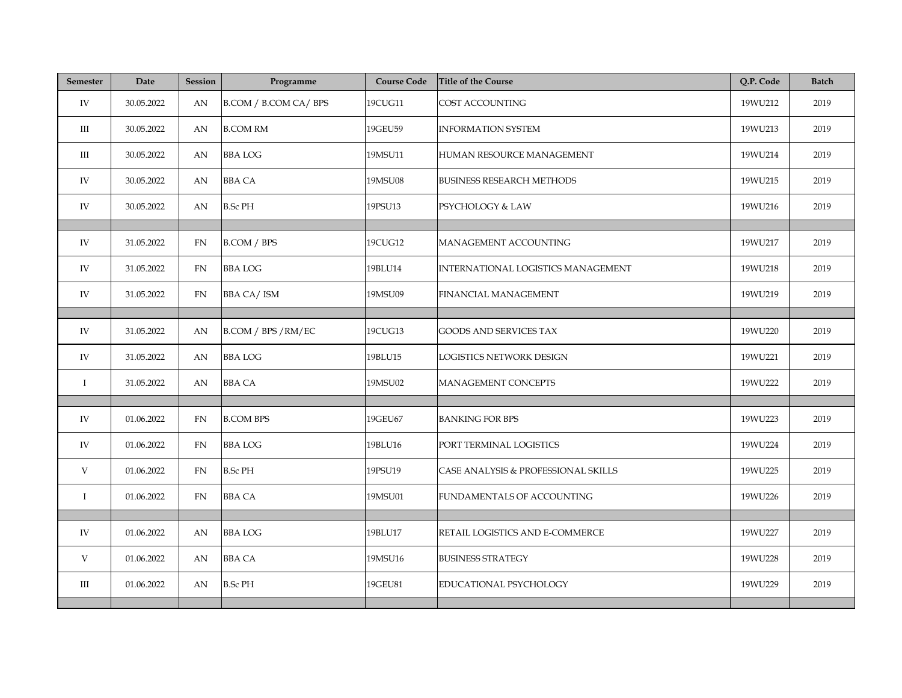| Semester  | Date       | <b>Session</b> | Programme            | <b>Course Code</b> | <b>Title of the Course</b>                | Q.P. Code | <b>Batch</b> |
|-----------|------------|----------------|----------------------|--------------------|-------------------------------------------|-----------|--------------|
| IV        | 30.05.2022 | AN             | B.COM / B.COM CA/BPS | 19CUG11            | COST ACCOUNTING                           | 19WU212   | 2019         |
| Ш         | 30.05.2022 | AN             | <b>B.COM RM</b>      | 19GEU59            | <b>INFORMATION SYSTEM</b>                 | 19WU213   | 2019         |
| Ш         | 30.05.2022 | AN             | <b>BBA LOG</b>       | 19MSU11            | HUMAN RESOURCE MANAGEMENT                 | 19WU214   | 2019         |
| IV        | 30.05.2022 | AN             | <b>BBA CA</b>        | 19MSU08            | <b>BUSINESS RESEARCH METHODS</b>          | 19WU215   | 2019         |
| IV        | 30.05.2022 | AN             | <b>B.Sc PH</b>       | 19PSU13            | PSYCHOLOGY & LAW                          | 19WU216   | 2019         |
|           |            |                |                      |                    |                                           |           |              |
| IV        | 31.05.2022 | FN             | B.COM / BPS          | 19CUG12            | MANAGEMENT ACCOUNTING                     | 19WU217   | 2019         |
| IV        | 31.05.2022 | FN             | <b>BBA LOG</b>       | 19BLU14            | <b>INTERNATIONAL LOGISTICS MANAGEMENT</b> | 19WU218   | 2019         |
| IV        | 31.05.2022 | FN             | <b>BBA CA/ISM</b>    | 19MSU09            | FINANCIAL MANAGEMENT                      | 19WU219   | 2019         |
|           |            |                |                      |                    |                                           |           |              |
| IV        | 31.05.2022 | AN             | B.COM / BPS / RM/EC  | 19CUG13            | <b>GOODS AND SERVICES TAX</b>             | 19WU220   | 2019         |
| IV        | 31.05.2022 | AN             | <b>BBALOG</b>        | 19BLU15            | LOGISTICS NETWORK DESIGN                  | 19WU221   | 2019         |
| $\bf{I}$  | 31.05.2022 | AN             | <b>BBA CA</b>        | 19MSU02            | MANAGEMENT CONCEPTS                       | 19WU222   | 2019         |
|           |            |                |                      |                    |                                           |           |              |
| IV        | 01.06.2022 | <b>FN</b>      | <b>B.COM BPS</b>     | 19GEU67            | <b>BANKING FOR BPS</b>                    | 19WU223   | 2019         |
| IV        | 01.06.2022 | <b>FN</b>      | <b>BBALOG</b>        | 19BLU16            | PORT TERMINAL LOGISTICS                   | 19WU224   | 2019         |
| V         | 01.06.2022 | FN             | <b>B.Sc PH</b>       | 19PSU19            | CASE ANALYSIS & PROFESSIONAL SKILLS       | 19WU225   | 2019         |
| $\bf{I}$  | 01.06.2022 | FN             | <b>BBA CA</b>        | 19MSU01            | FUNDAMENTALS OF ACCOUNTING                | 19WU226   | 2019         |
|           |            |                |                      |                    |                                           |           |              |
| IV        | 01.06.2022 | AN             | <b>BBA LOG</b>       | 19BLU17            | RETAIL LOGISTICS AND E-COMMERCE           | 19WU227   | 2019         |
| V         | 01.06.2022 | AN             | <b>BBA CA</b>        | 19MSU16            | <b>BUSINESS STRATEGY</b>                  | 19WU228   | 2019         |
| $\rm III$ | 01.06.2022 | AN             | <b>B.Sc PH</b>       | 19GEU81            | EDUCATIONAL PSYCHOLOGY                    | 19WU229   | 2019         |
|           |            |                |                      |                    |                                           |           |              |